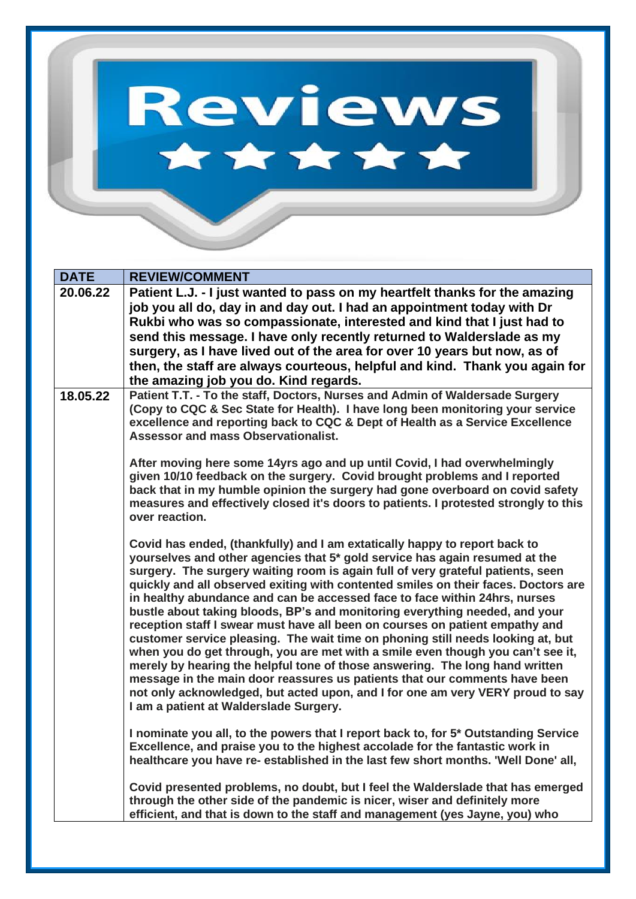## Reviews \*\*\*\*\*

| <b>DATE</b> | <b>REVIEW/COMMENT</b>                                                                                                                                                                                                                                                                                                                                                                                                                                                                                                                                                                                                                                                                                                                                                                                                                                                                                                                                                                                                                                             |
|-------------|-------------------------------------------------------------------------------------------------------------------------------------------------------------------------------------------------------------------------------------------------------------------------------------------------------------------------------------------------------------------------------------------------------------------------------------------------------------------------------------------------------------------------------------------------------------------------------------------------------------------------------------------------------------------------------------------------------------------------------------------------------------------------------------------------------------------------------------------------------------------------------------------------------------------------------------------------------------------------------------------------------------------------------------------------------------------|
| 20.06.22    | Patient L.J. - I just wanted to pass on my heartfelt thanks for the amazing<br>job you all do, day in and day out. I had an appointment today with Dr<br>Rukbi who was so compassionate, interested and kind that I just had to<br>send this message. I have only recently returned to Walderslade as my<br>surgery, as I have lived out of the area for over 10 years but now, as of<br>then, the staff are always courteous, helpful and kind. Thank you again for<br>the amazing job you do. Kind regards.                                                                                                                                                                                                                                                                                                                                                                                                                                                                                                                                                     |
| 18.05.22    | Patient T.T. - To the staff, Doctors, Nurses and Admin of Waldersade Surgery<br>(Copy to CQC & Sec State for Health). I have long been monitoring your service<br>excellence and reporting back to CQC & Dept of Health as a Service Excellence<br><b>Assessor and mass Observationalist.</b><br>After moving here some 14yrs ago and up until Covid, I had overwhelmingly<br>given 10/10 feedback on the surgery. Covid brought problems and I reported<br>back that in my humble opinion the surgery had gone overboard on covid safety<br>measures and effectively closed it's doors to patients. I protested strongly to this                                                                                                                                                                                                                                                                                                                                                                                                                                 |
|             | over reaction.<br>Covid has ended, (thankfully) and I am extatically happy to report back to<br>yourselves and other agencies that 5* gold service has again resumed at the<br>surgery. The surgery waiting room is again full of very grateful patients, seen<br>quickly and all observed exiting with contented smiles on their faces. Doctors are<br>in healthy abundance and can be accessed face to face within 24hrs, nurses<br>bustle about taking bloods, BP's and monitoring everything needed, and your<br>reception staff I swear must have all been on courses on patient empathy and<br>customer service pleasing. The wait time on phoning still needs looking at, but<br>when you do get through, you are met with a smile even though you can't see it,<br>merely by hearing the helpful tone of those answering. The long hand written<br>message in the main door reassures us patients that our comments have been<br>not only acknowledged, but acted upon, and I for one am very VERY proud to say<br>I am a patient at Walderslade Surgery. |
|             | I nominate you all, to the powers that I report back to, for 5* Outstanding Service<br>Excellence, and praise you to the highest accolade for the fantastic work in<br>healthcare you have re- established in the last few short months. 'Well Done' all,                                                                                                                                                                                                                                                                                                                                                                                                                                                                                                                                                                                                                                                                                                                                                                                                         |
|             | Covid presented problems, no doubt, but I feel the Walderslade that has emerged<br>through the other side of the pandemic is nicer, wiser and definitely more<br>efficient, and that is down to the staff and management (yes Jayne, you) who                                                                                                                                                                                                                                                                                                                                                                                                                                                                                                                                                                                                                                                                                                                                                                                                                     |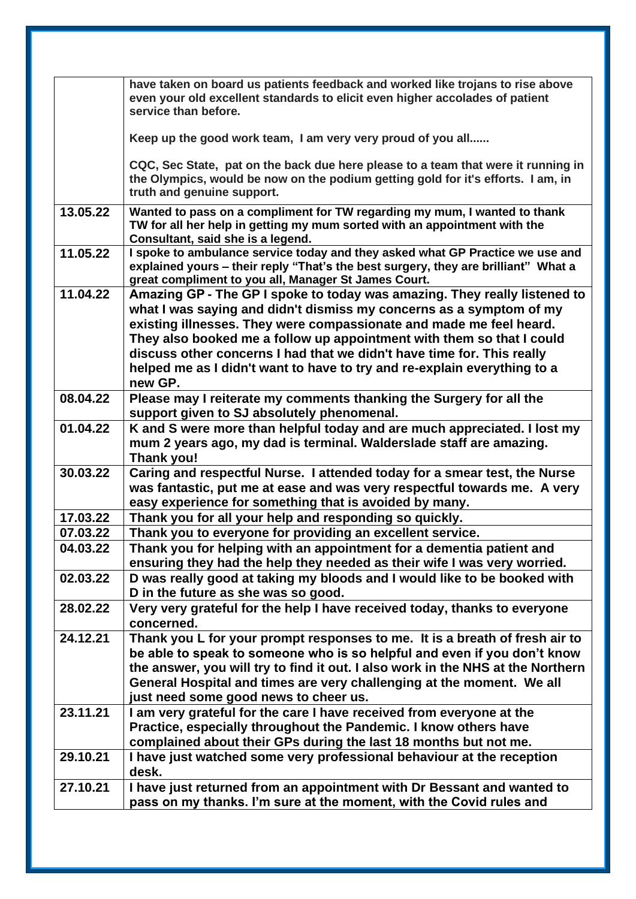|          | have taken on board us patients feedback and worked like trojans to rise above<br>even your old excellent standards to elicit even higher accolades of patient<br>service than before.                                                                                                                                                                                                                                                                            |
|----------|-------------------------------------------------------------------------------------------------------------------------------------------------------------------------------------------------------------------------------------------------------------------------------------------------------------------------------------------------------------------------------------------------------------------------------------------------------------------|
|          | Keep up the good work team, I am very very proud of you all                                                                                                                                                                                                                                                                                                                                                                                                       |
|          | CQC, Sec State, pat on the back due here please to a team that were it running in<br>the Olympics, would be now on the podium getting gold for it's efforts. I am, in<br>truth and genuine support.                                                                                                                                                                                                                                                               |
| 13.05.22 | Wanted to pass on a compliment for TW regarding my mum, I wanted to thank<br>TW for all her help in getting my mum sorted with an appointment with the<br>Consultant, said she is a legend.                                                                                                                                                                                                                                                                       |
| 11.05.22 | I spoke to ambulance service today and they asked what GP Practice we use and<br>explained yours - their reply "That's the best surgery, they are brilliant" What a<br>great compliment to you all, Manager St James Court.                                                                                                                                                                                                                                       |
| 11.04.22 | Amazing GP - The GP I spoke to today was amazing. They really listened to<br>what I was saying and didn't dismiss my concerns as a symptom of my<br>existing illnesses. They were compassionate and made me feel heard.<br>They also booked me a follow up appointment with them so that I could<br>discuss other concerns I had that we didn't have time for. This really<br>helped me as I didn't want to have to try and re-explain everything to a<br>new GP. |
| 08.04.22 | Please may I reiterate my comments thanking the Surgery for all the<br>support given to SJ absolutely phenomenal.                                                                                                                                                                                                                                                                                                                                                 |
| 01.04.22 | K and S were more than helpful today and are much appreciated. I lost my<br>mum 2 years ago, my dad is terminal. Walderslade staff are amazing.<br>Thank you!                                                                                                                                                                                                                                                                                                     |
| 30.03.22 | Caring and respectful Nurse. I attended today for a smear test, the Nurse<br>was fantastic, put me at ease and was very respectful towards me. A very<br>easy experience for something that is avoided by many.                                                                                                                                                                                                                                                   |
| 17.03.22 | Thank you for all your help and responding so quickly.                                                                                                                                                                                                                                                                                                                                                                                                            |
| 07.03.22 | Thank you to everyone for providing an excellent service.                                                                                                                                                                                                                                                                                                                                                                                                         |
| 04.03.22 | Thank you for helping with an appointment for a dementia patient and<br>ensuring they had the help they needed as their wife I was very worried.                                                                                                                                                                                                                                                                                                                  |
| 02.03.22 | D was really good at taking my bloods and I would like to be booked with<br>D in the future as she was so good.                                                                                                                                                                                                                                                                                                                                                   |
| 28.02.22 | Very very grateful for the help I have received today, thanks to everyone<br>concerned.                                                                                                                                                                                                                                                                                                                                                                           |
| 24.12.21 | Thank you L for your prompt responses to me. It is a breath of fresh air to<br>be able to speak to someone who is so helpful and even if you don't know<br>the answer, you will try to find it out. I also work in the NHS at the Northern<br>General Hospital and times are very challenging at the moment. We all<br>just need some good news to cheer us.                                                                                                      |
| 23.11.21 | I am very grateful for the care I have received from everyone at the<br>Practice, especially throughout the Pandemic. I know others have<br>complained about their GPs during the last 18 months but not me.                                                                                                                                                                                                                                                      |
| 29.10.21 | I have just watched some very professional behaviour at the reception<br>desk.                                                                                                                                                                                                                                                                                                                                                                                    |
| 27.10.21 | I have just returned from an appointment with Dr Bessant and wanted to<br>pass on my thanks. I'm sure at the moment, with the Covid rules and                                                                                                                                                                                                                                                                                                                     |